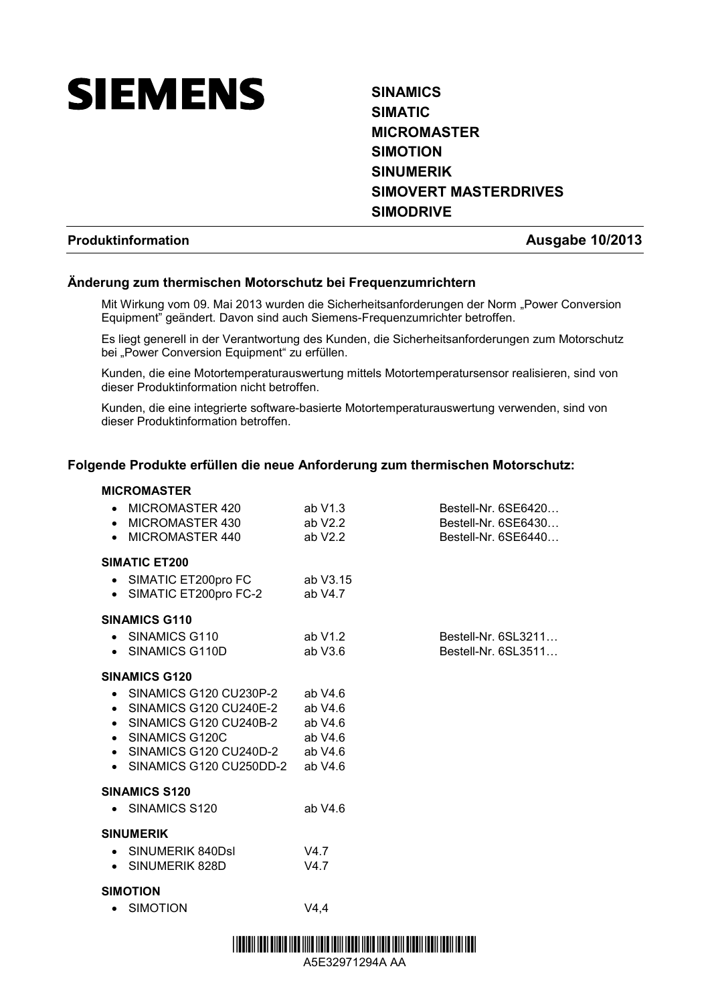

# **SINAMICS SIMATIC MICROMASTER SIMOTION SINUMERIK SIMOVERT MASTERDRIVES SIMODRIVE**

### **Produktinformation Ausgabe 10/2013**

# **Änderung zum thermischen Motorschutz bei Frequenzumrichtern**

Mit Wirkung vom 09. Mai 2013 wurden die Sicherheitsanforderungen der Norm "Power Conversion Equipment" geändert. Davon sind auch Siemens-Frequenzumrichter betroffen.

Es liegt generell in der Verantwortung des Kunden, die Sicherheitsanforderungen zum Motorschutz bei "Power Conversion Equipment" zu erfüllen.

Kunden, die eine Motortemperaturauswertung mittels Motortemperatursensor realisieren, sind von dieser Produktinformation nicht betroffen.

Kunden, die eine integrierte software-basierte Motortemperaturauswertung verwenden, sind von dieser Produktinformation betroffen.

# **Folgende Produkte erfüllen die neue Anforderung zum thermischen Motorschutz:**

#### **MICROMASTER**

| MICROMASTER 420<br>$\bullet$<br>• MICROMASTER 430<br>MICROMASTER 440<br>$\bullet$                                                                                                                                             | ab V1.3<br>ab V2.2<br>ab $V2.2$   | Bestell-Nr. 6SE6420<br>Bestell-Nr. 6SE6430<br>Bestell-Nr. 6SE6440 |
|-------------------------------------------------------------------------------------------------------------------------------------------------------------------------------------------------------------------------------|-----------------------------------|-------------------------------------------------------------------|
| <b>SIMATIC ET200</b><br>• SIMATIC ET200pro FC<br>• SIMATIC ET200pro FC-2                                                                                                                                                      | ab V3.15<br>ab $V4.7$             |                                                                   |
| <b>SINAMICS G110</b><br>• SINAMICS G110<br>• SINAMICS G110D                                                                                                                                                                   | ab V1.2<br>ab $V3.6$              | Bestell-Nr. 6SL3211<br>Bestell-Nr. 6SL3511                        |
| <b>SINAMICS G120</b><br>$\bullet$ SINAMICS G120 CU230P-2 ab V4.6<br>• SINAMICS G120 CU240E-2 ab V4.6<br>• SINAMICS G120 CU240B-2 ab V4.6<br>• SINAMICS G120C<br>$\bullet$ SINAMICS G120 CU240D-2<br>• SINAMICS G120 CU250DD-2 | ab V4.6<br>ab $V4.6$<br>ab $V4.6$ |                                                                   |
| <b>SINAMICS S120</b><br>• SINAMICS S120                                                                                                                                                                                       | ab $V4.6$                         |                                                                   |
| <b>SINUMERIK</b><br>• SINUMERIK 840DsI<br>• SINUMERIK 828D                                                                                                                                                                    | V4.7<br>V4.7                      |                                                                   |
| <b>SIMOTION</b><br><b>SIMOTION</b>                                                                                                                                                                                            | V4,4                              |                                                                   |



A5E32971294A AA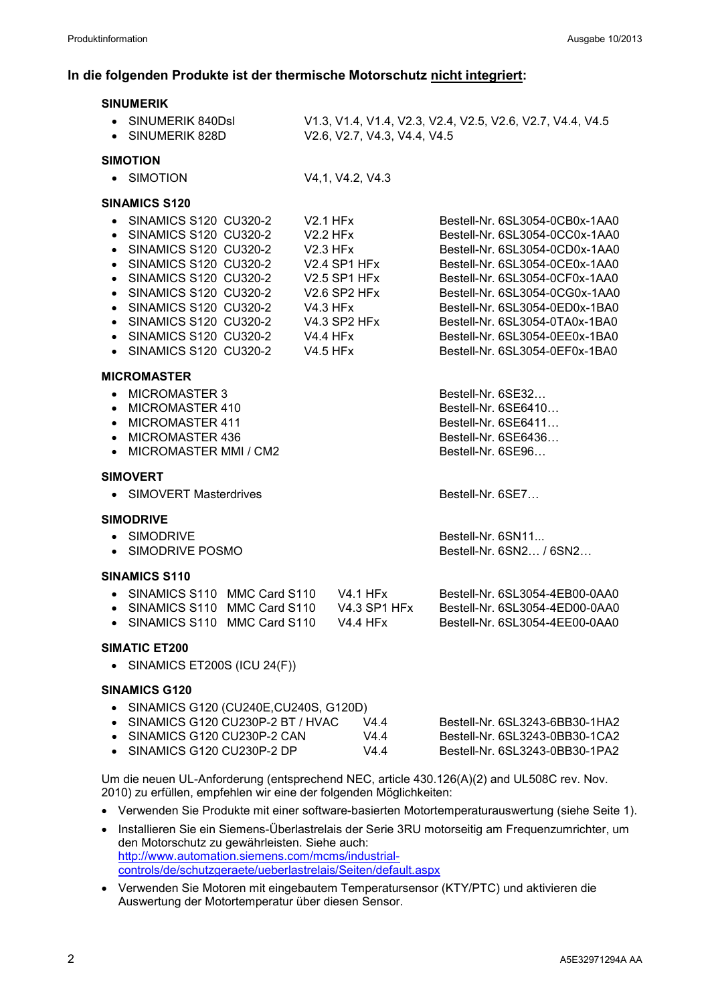### **In die folgenden Produkte ist der thermische Motorschutz nicht integriert:**

| <b>SINUMERIK</b>                                                                                                                                                                                                                                                                             |                                                                                                                                                                                         |                                                    |                                                                                                                                                                                                                                                                                                                                                  |
|----------------------------------------------------------------------------------------------------------------------------------------------------------------------------------------------------------------------------------------------------------------------------------------------|-----------------------------------------------------------------------------------------------------------------------------------------------------------------------------------------|----------------------------------------------------|--------------------------------------------------------------------------------------------------------------------------------------------------------------------------------------------------------------------------------------------------------------------------------------------------------------------------------------------------|
| • SINUMERIK 840DsI<br>• SINUMERIK 828D                                                                                                                                                                                                                                                       |                                                                                                                                                                                         | V2.6, V2.7, V4.3, V4.4, V4.5                       | V1.3, V1.4, V1.4, V2.3, V2.4, V2.5, V2.6, V2.7, V4.4, V4.5                                                                                                                                                                                                                                                                                       |
| <b>SIMOTION</b>                                                                                                                                                                                                                                                                              |                                                                                                                                                                                         |                                                    |                                                                                                                                                                                                                                                                                                                                                  |
| • SIMOTION                                                                                                                                                                                                                                                                                   | V4,1, V4.2, V4.3                                                                                                                                                                        |                                                    |                                                                                                                                                                                                                                                                                                                                                  |
| <b>SINAMICS S120</b>                                                                                                                                                                                                                                                                         |                                                                                                                                                                                         |                                                    |                                                                                                                                                                                                                                                                                                                                                  |
| • SINAMICS S120 CU320-2<br><b>SINAMICS S120 CU320-2</b><br>$\bullet$<br>• SINAMICS S120 CU320-2<br>• SINAMICS S120 CU320-2<br>• SINAMICS S120 CU320-2<br>• SINAMICS S120 CU320-2<br>• SINAMICS S120 CU320-2<br>• SINAMICS S120 CU320-2<br>• SINAMICS S120 CU320-2<br>• SINAMICS S120 CU320-2 | <b>V2.1 HFx</b><br><b>V2.2 HFx</b><br>$V2.3$ HFx<br>V2.4 SP1 HFx<br><b>V2.5 SP1 HFx</b><br>V2.6 SP2 HFx<br><b>V4.3 HFx</b><br><b>V4.3 SP2 HFx</b><br><b>V4.4 HFx</b><br><b>V4.5 HFx</b> |                                                    | Bestell-Nr. 6SL3054-0CB0x-1AA0<br>Bestell-Nr. 6SL3054-0CC0x-1AA0<br>Bestell-Nr. 6SL3054-0CD0x-1AA0<br>Bestell-Nr. 6SL3054-0CE0x-1AA0<br>Bestell-Nr. 6SL3054-0CF0x-1AA0<br>Bestell-Nr. 6SL3054-0CG0x-1AA0<br>Bestell-Nr. 6SL3054-0ED0x-1BA0<br>Bestell-Nr. 6SL3054-0TA0x-1BA0<br>Bestell-Nr. 6SL3054-0EE0x-1BA0<br>Bestell-Nr. 6SL3054-0EF0x-1BA0 |
| <b>MICROMASTER</b><br>MICROMASTER 3<br>$\bullet$<br>MICROMASTER 410<br>$\bullet$<br>MICROMASTER 411<br>$\bullet$<br>• MICROMASTER 436<br>MICROMASTER MMI / CM2<br>$\bullet$                                                                                                                  |                                                                                                                                                                                         |                                                    | Bestell-Nr. 6SE32<br>Bestell-Nr. 6SE6410<br>Bestell-Nr. 6SE6411<br>Bestell-Nr. 6SE6436<br>Bestell-Nr. 6SE96                                                                                                                                                                                                                                      |
| <b>SIMOVERT</b><br><b>SIMOVERT Masterdrives</b><br>$\bullet$                                                                                                                                                                                                                                 |                                                                                                                                                                                         |                                                    | Bestell-Nr. 6SE7                                                                                                                                                                                                                                                                                                                                 |
| <b>SIMODRIVE</b><br>• SIMODRIVE<br>• SIMODRIVE POSMO                                                                                                                                                                                                                                         |                                                                                                                                                                                         |                                                    | Bestell-Nr. 6SN11<br>Bestell-Nr. 6SN2 / 6SN2                                                                                                                                                                                                                                                                                                     |
| <b>SINAMICS S110</b><br>• SINAMICS S110 MMC Card S110<br>• SINAMICS S110 MMC Card S110<br>SINAMICS S110 MMC Card S110<br>$\bullet$                                                                                                                                                           |                                                                                                                                                                                         | V4.1 HFx<br><b>V4.3 SP1 HFx</b><br><b>V4.4 HFx</b> | Bestell-Nr. 6SL3054-4EB00-0AA0<br>Bestell-Nr. 6SL3054-4ED00-0AA0<br>Bestell-Nr. 6SL3054-4EE00-0AA0                                                                                                                                                                                                                                               |
| SIMATIC ET200<br>• SINAMICS ET200S (ICU 24 $(F)$ )                                                                                                                                                                                                                                           |                                                                                                                                                                                         |                                                    |                                                                                                                                                                                                                                                                                                                                                  |
| <b>SINAMICS G120</b><br>SINAMICS G120 (CU240E, CU240S, G120D)<br>SINAMICS G120 CU230P-2 BT / HVAC<br>• SINAMICS G120 CU230P-2 CAN<br>• SINAMICS G120 CU230P-2 DP                                                                                                                             |                                                                                                                                                                                         | V4.4<br>V4.4<br>V4.4                               | Bestell-Nr. 6SL3243-6BB30-1HA2<br>Bestell-Nr. 6SL3243-0BB30-1CA2<br>Bestell-Nr. 6SL3243-0BB30-1PA2                                                                                                                                                                                                                                               |

Um die neuen UL-Anforderung (entsprechend NEC, article 430.126(A)(2) and UL508C rev. Nov. 2010) zu erfüllen, empfehlen wir eine der folgenden Möglichkeiten:

- Verwenden Sie Produkte mit einer software-basierten Motortemperaturauswertung (siehe Seite 1).
- Installieren Sie ein Siemens-Überlastrelais der Serie 3RU motorseitig am Frequenzumrichter, um den Motorschutz zu gewährleisten. Siehe auch: [http://www.automation.siemens.com/mcms/industrial](http://www.automation.siemens.com/mcms/industrial-controls/de/schutzgeraete/ueberlastrelais/Seiten/default.aspx)[controls/de/schutzgeraete/ueberlastrelais/Seiten/default.aspx](http://www.automation.siemens.com/mcms/industrial-controls/de/schutzgeraete/ueberlastrelais/Seiten/default.aspx)
- Verwenden Sie Motoren mit eingebautem Temperatursensor (KTY/PTC) und aktivieren die Auswertung der Motortemperatur über diesen Sensor.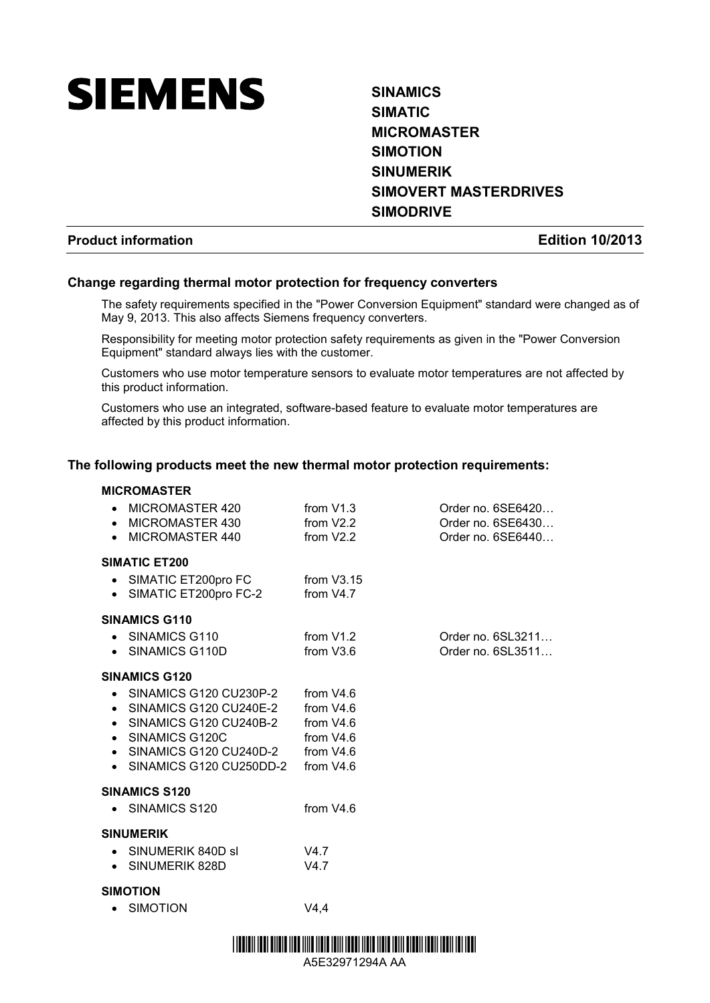

# **SINAMICS SIMATIC MICROMASTER SIMOTION SINUMERIK SIMOVERT MASTERDRIVES SIMODRIVE**

Order no. 6SL3211... Order no. 6SL3511...

# **Product information Edition 10/2013**

# **Change regarding thermal motor protection for frequency converters**

The safety requirements specified in the "Power Conversion Equipment" standard were changed as of May 9, 2013. This also affects Siemens frequency converters.

Responsibility for meeting motor protection safety requirements as given in the "Power Conversion Equipment" standard always lies with the customer.

Customers who use motor temperature sensors to evaluate motor temperatures are not affected by this product information.

Customers who use an integrated, software-based feature to evaluate motor temperatures are affected by this product information.

#### **The following products meet the new thermal motor protection requirements:**

#### **MICROMASTER**

| • MICROMASTER 420 | from $V1.3$ | Order no. 6SE6420 |
|-------------------|-------------|-------------------|
| • MICROMASTER 430 | from $V2.2$ | Order no. 6SE6430 |
| • MICROMASTER 440 | from V2.2   | Order no. 6SE6440 |

#### **SIMATIC ET200**

| • SIMATIC ET200pro FC | from $V3.15$ |
|-----------------------|--------------|
| SIMATIC ET200pro FC-2 | from $V4.7$  |

#### **SINAMICS G110**

| SINAMICS G110  | from $V1.2$           |
|----------------|-----------------------|
| SINAMICS G110D | from V <sub>3.6</sub> |

#### **SINAMICS G120**

- SINAMICS G120 CU230P-2 from V4.6
- SINAMICS G120 CU240E-2 from V4.6
- SINAMICS G120 CU240B-2 from V4.6<br>• SINAMICS G120C from V4.6
- SINAMICS G120C from V4.6<br>• SINAMICS G120 CU240D-2 from V4.6
- $\bullet$  SINAMICS G120 CU240D-2
- SINAMICS G120 CU250DD-2 from V4.6

# **SINAMICS S120**

• SINAMICS S120 from V4.6

#### **SINUMERIK**

| SINUMERIK 840D sl | V4 7 |
|-------------------|------|
| SINUMERIK 828D    | V4 7 |

#### **SIMOTION**

• SIMOTION V4,4

<u> I ITT III III III TIITTE IITT IIII TIITT ITTII ITTEI IITTE IITTE TEILI TEITII ITTII ITTII ITTII ITTII ITTII </u>

A5E32971294A AA